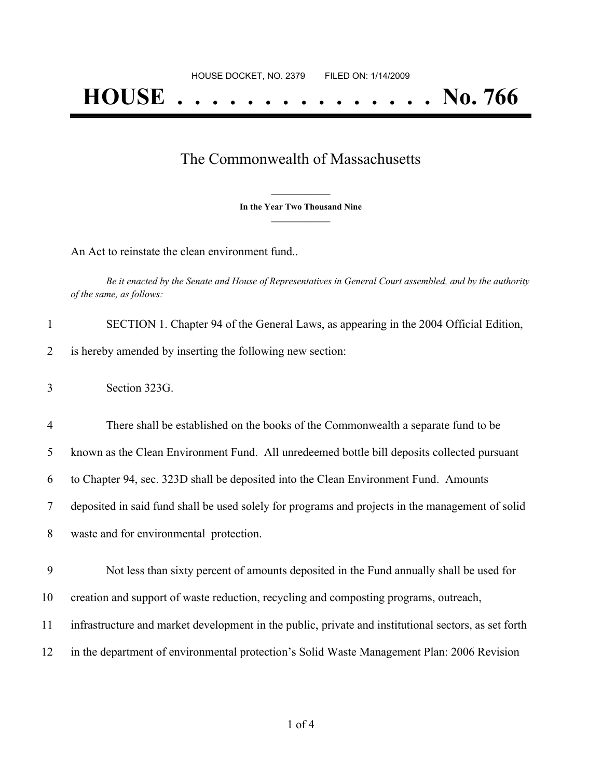## The Commonwealth of Massachusetts

**\_\_\_\_\_\_\_\_\_\_\_\_\_\_\_ In the Year Two Thousand Nine \_\_\_\_\_\_\_\_\_\_\_\_\_\_\_**

An Act to reinstate the clean environment fund..

Be it enacted by the Senate and House of Representatives in General Court assembled, and by the authority *of the same, as follows:*

| SECTION 1. Chapter 94 of the General Laws, as appearing in the 2004 Official Edition, |
|---------------------------------------------------------------------------------------|
| is hereby amended by inserting the following new section:                             |

 There shall be established on the books of the Commonwealth a separate fund to be known as the Clean Environment Fund. All unredeemed bottle bill deposits collected pursuant to Chapter 94, sec. 323D shall be deposited into the Clean Environment Fund. Amounts deposited in said fund shall be used solely for programs and projects in the management of solid waste and for environmental protection.

 Not less than sixty percent of amounts deposited in the Fund annually shall be used for creation and support of waste reduction, recycling and composting programs, outreach, infrastructure and market development in the public, private and institutional sectors, as set forth in the department of environmental protection's Solid Waste Management Plan: 2006 Revision

<sup>3</sup> Section 323G.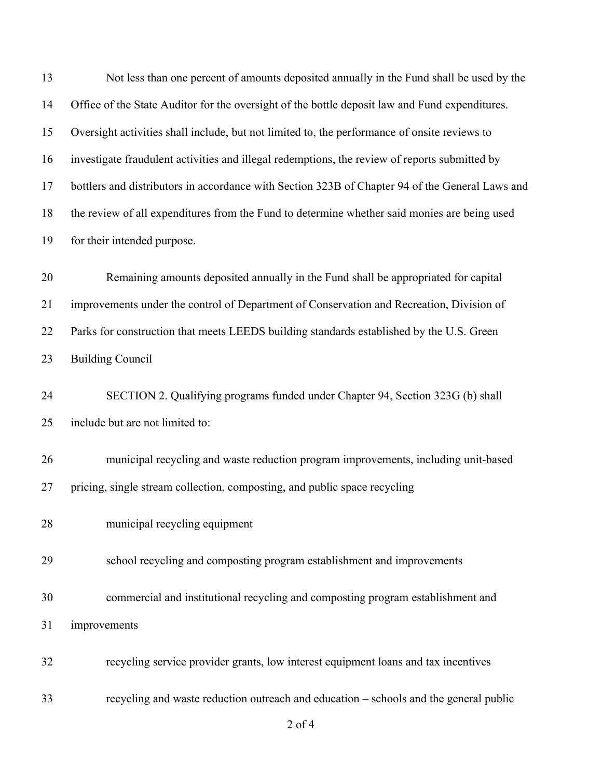Not less than one percent of amounts deposited annually in the Fund shall be used by the Office of the State Auditor for the oversight of the bottle deposit law and Fund expenditures. Oversight activities shall include, but not limited to, the performance of onsite reviews to investigate fraudulent activities and illegal redemptions, the review of reports submitted by bottlers and distributors in accordance with Section 323B of Chapter 94 of the General Laws and the review of all expenditures from the Fund to determine whether said monies are being used for their intended purpose. Remaining amounts deposited annually in the Fund shall be appropriated for capital improvements under the control of Department of Conservation and Recreation, Division of Parks for construction that meets LEEDS building standards established by the U.S. Green Building Council SECTION 2. Qualifying programs funded under Chapter 94, Section 323G (b) shall include but are not limited to: municipal recycling and waste reduction program improvements, including unit-based pricing, single stream collection, composting, and public space recycling municipal recycling equipment school recycling and composting program establishment and improvements commercial and institutional recycling and composting program establishment and improvements recycling service provider grants, low interest equipment loans and tax incentives recycling and waste reduction outreach and education – schools and the general public

of 4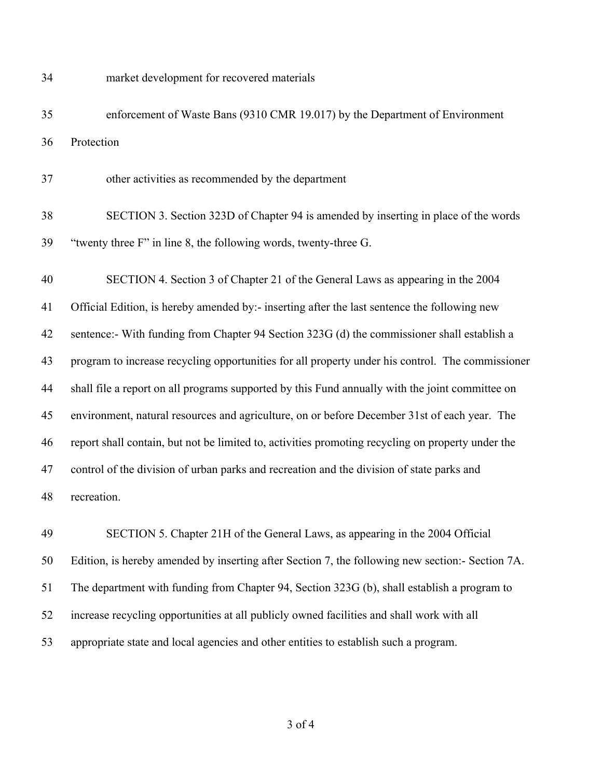market development for recovered materials

 enforcement of Waste Bans (9310 CMR 19.017) by the Department of Environment Protection

other activities as recommended by the department

 SECTION 3. Section 323D of Chapter 94 is amended by inserting in place of the words "twenty three F" in line 8, the following words, twenty-three G.

 SECTION 4. Section 3 of Chapter 21 of the General Laws as appearing in the 2004 Official Edition, is hereby amended by:- inserting after the last sentence the following new sentence:- With funding from Chapter 94 Section 323G (d) the commissioner shall establish a program to increase recycling opportunities for all property under his control. The commissioner shall file a report on all programs supported by this Fund annually with the joint committee on environment, natural resources and agriculture, on or before December 31st of each year. The report shall contain, but not be limited to, activities promoting recycling on property under the control of the division of urban parks and recreation and the division of state parks and recreation.

 SECTION 5. Chapter 21H of the General Laws, as appearing in the 2004 Official Edition, is hereby amended by inserting after Section 7, the following new section:- Section 7A. The department with funding from Chapter 94, Section 323G (b), shall establish a program to increase recycling opportunities at all publicly owned facilities and shall work with all appropriate state and local agencies and other entities to establish such a program.